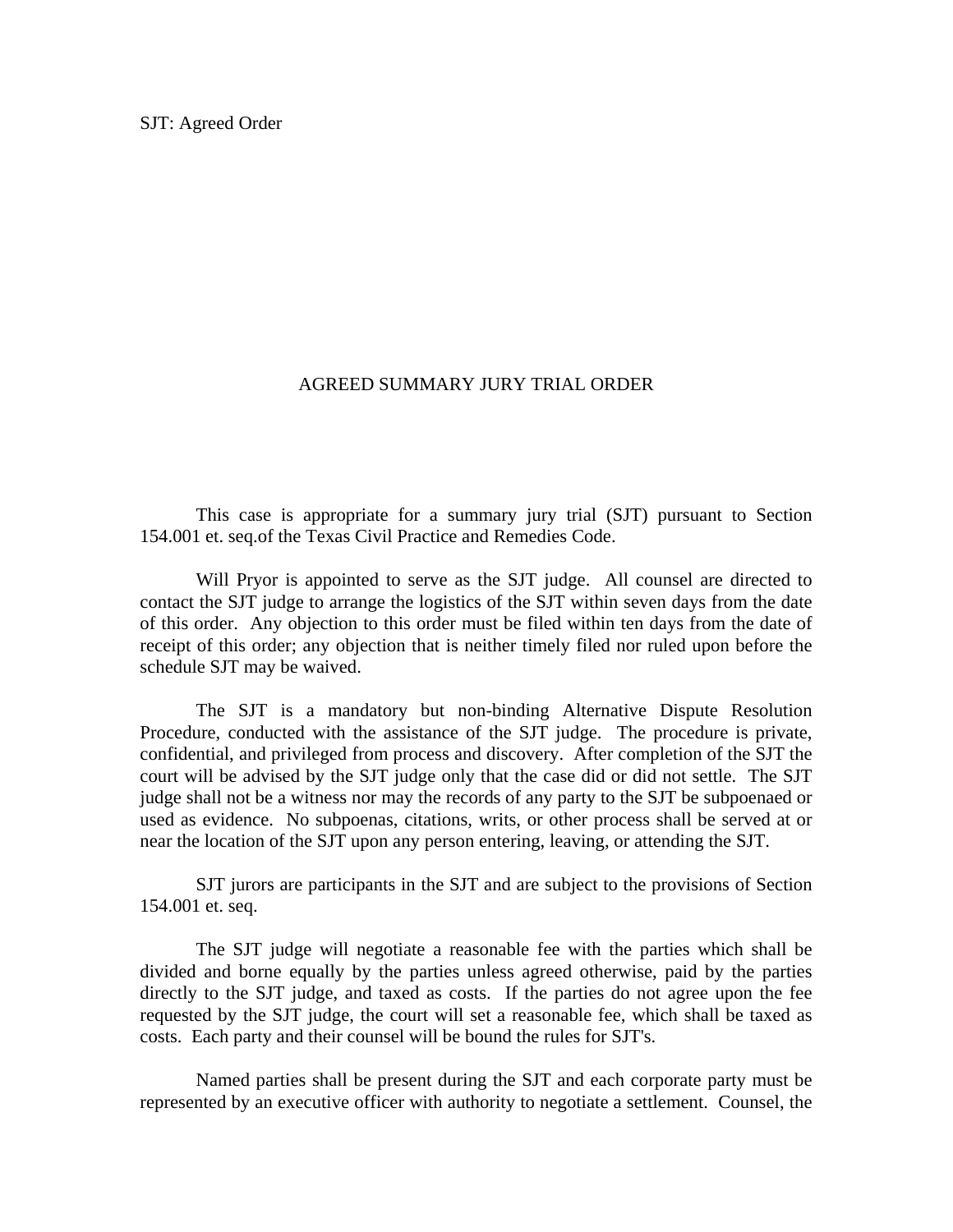## AGREED SUMMARY JURY TRIAL ORDER

 This case is appropriate for a summary jury trial (SJT) pursuant to Section 154.001 et. seq.of the Texas Civil Practice and Remedies Code.

 Will Pryor is appointed to serve as the SJT judge. All counsel are directed to contact the SJT judge to arrange the logistics of the SJT within seven days from the date of this order. Any objection to this order must be filed within ten days from the date of receipt of this order; any objection that is neither timely filed nor ruled upon before the schedule SJT may be waived.

 The SJT is a mandatory but non-binding Alternative Dispute Resolution Procedure, conducted with the assistance of the SJT judge. The procedure is private, confidential, and privileged from process and discovery. After completion of the SJT the court will be advised by the SJT judge only that the case did or did not settle. The SJT judge shall not be a witness nor may the records of any party to the SJT be subpoenaed or used as evidence. No subpoenas, citations, writs, or other process shall be served at or near the location of the SJT upon any person entering, leaving, or attending the SJT.

 SJT jurors are participants in the SJT and are subject to the provisions of Section 154.001 et. seq.

 The SJT judge will negotiate a reasonable fee with the parties which shall be divided and borne equally by the parties unless agreed otherwise, paid by the parties directly to the SJT judge, and taxed as costs. If the parties do not agree upon the fee requested by the SJT judge, the court will set a reasonable fee, which shall be taxed as costs. Each party and their counsel will be bound the rules for SJT's.

 Named parties shall be present during the SJT and each corporate party must be represented by an executive officer with authority to negotiate a settlement. Counsel, the